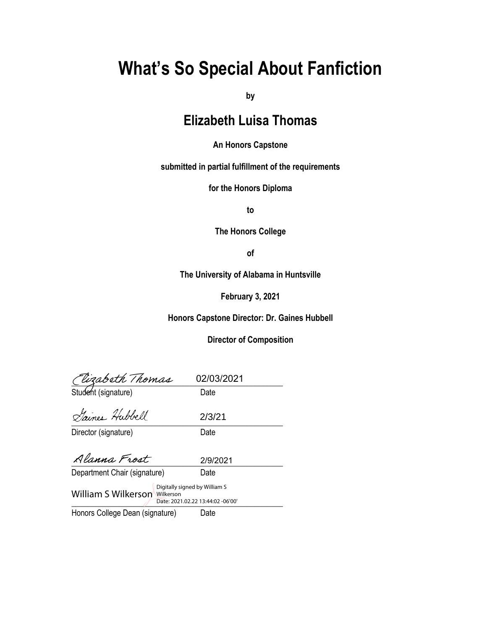# **What's So Special About Fanfiction**

**by**

# **Elizabeth Luisa Thomas**

## **An Honors Capstone**

**submitted in partial fulfillment of the requirements** 

**for the Honors Diploma**

**to** 

**The Honors College** 

**of** 

**The University of Alabama in Huntsville**

**February 3, 2021**

**Honors Capstone Director: Dr. Gaines Hubbell**

# **Director of Composition**

| <i>Clizabeth Thomas</i><br>Student (signature)                                                             | 02/03/2021 |  |
|------------------------------------------------------------------------------------------------------------|------------|--|
|                                                                                                            | Date       |  |
| Gaines Hubbell                                                                                             | 2/3/21     |  |
| Director (signature)                                                                                       | Date       |  |
| Alanna Frost                                                                                               | 2/9/2021   |  |
| Department Chair (signature)                                                                               | Date       |  |
| Digitally signed by William S<br><b>William S Wilkerson Wilkerson</b><br>Date: 2021.02.22 13:44:02 -06'00' |            |  |
| Honors College Dean (signature)                                                                            | Date       |  |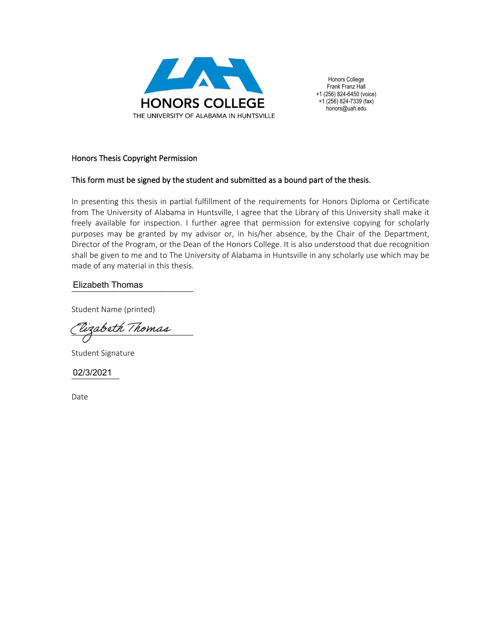

Honors College Frank Franz Hall +1 (256) 824-6450 (voice) +1 (256) 824-7339 (fax) honors@uah.edu

### Honors Thesis Copyright Permission

### This form must be signed by the student and submitted as a bound part of the thesis.

In presenting this thesis in partial fulfillment of the requirements for Honors Diploma or Certificate from The University of Alabama in Huntsville, I agree that the Library of this University shall make it freely available for inspection. I further agree that permission for extensive copying for scholarly purposes may be granted by my advisor or, in his/her absence, by the Chair of the Department, Director of the Program, or the Dean of the Honors College. It is also understood that due recognition shall be given to me and to The University of Alabama in Huntsville in any scholarly use which may be made of any material in this thesis.

# \_\_\_\_\_\_\_\_\_\_\_\_\_\_\_\_\_\_\_\_\_\_\_\_\_\_\_\_ Elizabeth Thomas

Student Name (printed)

\_\_\_\_\_\_\_\_\_\_\_\_\_\_\_\_\_\_\_\_\_\_\_\_\_\_\_\_

Student Signature

\_\_\_\_\_\_\_\_\_\_\_ 02/3/2021

Date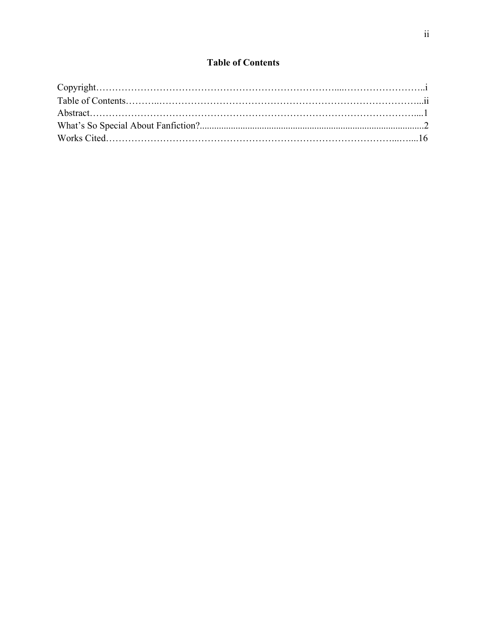# **Table of Contents**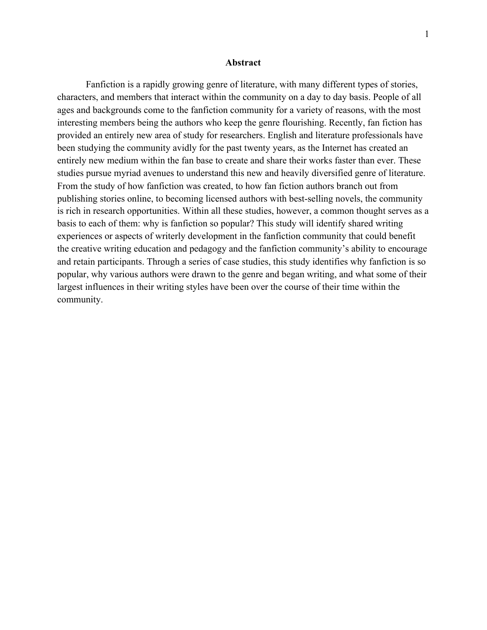#### **Abstract**

Fanfiction is a rapidly growing genre of literature, with many different types of stories, characters, and members that interact within the community on a day to day basis. People of all ages and backgrounds come to the fanfiction community for a variety of reasons, with the most interesting members being the authors who keep the genre flourishing. Recently, fan fiction has provided an entirely new area of study for researchers. English and literature professionals have been studying the community avidly for the past twenty years, as the Internet has created an entirely new medium within the fan base to create and share their works faster than ever. These studies pursue myriad avenues to understand this new and heavily diversified genre of literature. From the study of how fanfiction was created, to how fan fiction authors branch out from publishing stories online, to becoming licensed authors with best-selling novels, the community is rich in research opportunities. Within all these studies, however, a common thought serves as a basis to each of them: why is fanfiction so popular? This study will identify shared writing experiences or aspects of writerly development in the fanfiction community that could benefit the creative writing education and pedagogy and the fanfiction community's ability to encourage and retain participants. Through a series of case studies, this study identifies why fanfiction is so popular, why various authors were drawn to the genre and began writing, and what some of their largest influences in their writing styles have been over the course of their time within the community.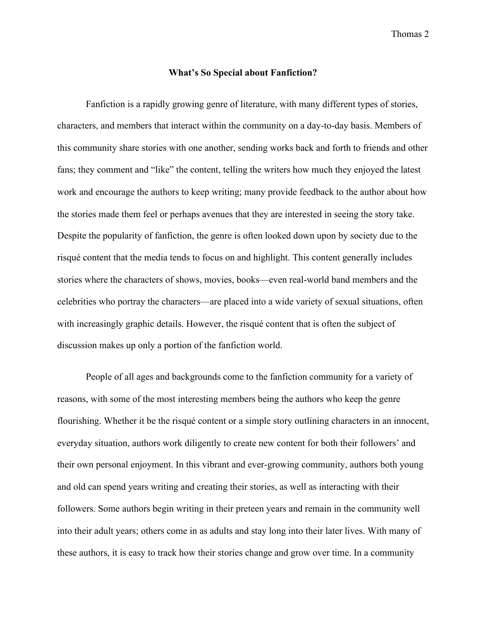### **What's So Special about Fanfiction?**

Fanfiction is a rapidly growing genre of literature, with many different types of stories, characters, and members that interact within the community on a day-to-day basis. Members of this community share stories with one another, sending works back and forth to friends and other fans; they comment and "like" the content, telling the writers how much they enjoyed the latest work and encourage the authors to keep writing; many provide feedback to the author about how the stories made them feel or perhaps avenues that they are interested in seeing the story take. Despite the popularity of fanfiction, the genre is often looked down upon by society due to the risqué content that the media tends to focus on and highlight. This content generally includes stories where the characters of shows, movies, books—even real-world band members and the celebrities who portray the characters—are placed into a wide variety of sexual situations, often with increasingly graphic details. However, the risqué content that is often the subject of discussion makes up only a portion of the fanfiction world.

People of all ages and backgrounds come to the fanfiction community for a variety of reasons, with some of the most interesting members being the authors who keep the genre flourishing. Whether it be the risqué content or a simple story outlining characters in an innocent, everyday situation, authors work diligently to create new content for both their followers' and their own personal enjoyment. In this vibrant and ever-growing community, authors both young and old can spend years writing and creating their stories, as well as interacting with their followers. Some authors begin writing in their preteen years and remain in the community well into their adult years; others come in as adults and stay long into their later lives. With many of these authors, it is easy to track how their stories change and grow over time. In a community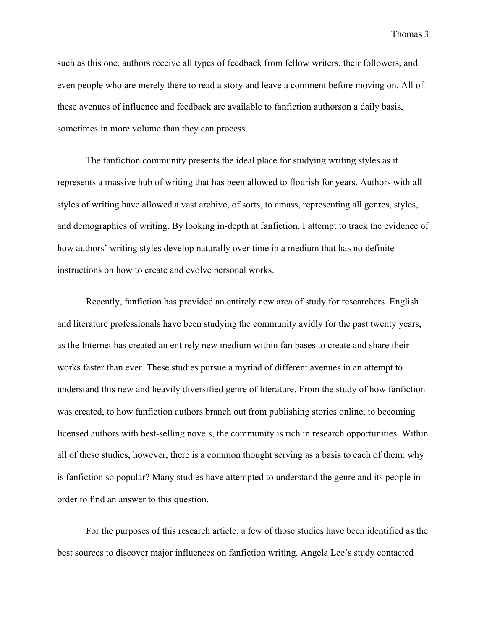such as this one, authors receive all types of feedback from fellow writers, their followers, and even people who are merely there to read a story and leave a comment before moving on. All of these avenues of influence and feedback are available to fanfiction authorson a daily basis, sometimes in more volume than they can process.

The fanfiction community presents the ideal place for studying writing styles as it represents a massive hub of writing that has been allowed to flourish for years. Authors with all styles of writing have allowed a vast archive, of sorts, to amass, representing all genres, styles, and demographics of writing. By looking in-depth at fanfiction, I attempt to track the evidence of how authors' writing styles develop naturally over time in a medium that has no definite instructions on how to create and evolve personal works.

Recently, fanfiction has provided an entirely new area of study for researchers. English and literature professionals have been studying the community avidly for the past twenty years, as the Internet has created an entirely new medium within fan bases to create and share their works faster than ever. These studies pursue a myriad of different avenues in an attempt to understand this new and heavily diversified genre of literature. From the study of how fanfiction was created, to how fanfiction authors branch out from publishing stories online, to becoming licensed authors with best-selling novels, the community is rich in research opportunities. Within all of these studies, however, there is a common thought serving as a basis to each of them: why is fanfiction so popular? Many studies have attempted to understand the genre and its people in order to find an answer to this question.

For the purposes of this research article, a few of those studies have been identified as the best sources to discover major influences on fanfiction writing. Angela Lee's study contacted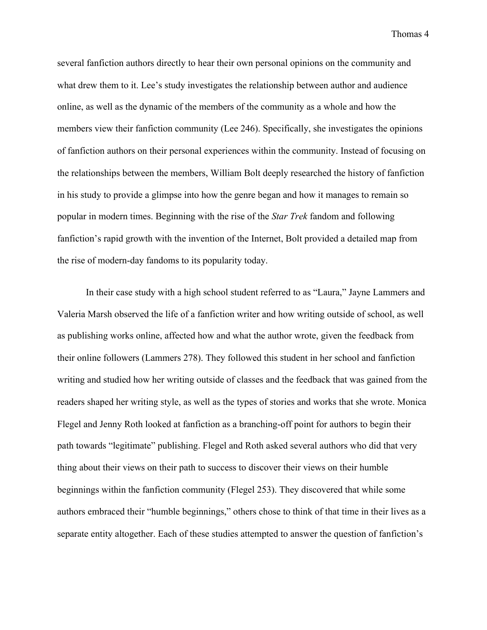several fanfiction authors directly to hear their own personal opinions on the community and what drew them to it. Lee's study investigates the relationship between author and audience online, as well as the dynamic of the members of the community as a whole and how the members view their fanfiction community (Lee 246). Specifically, she investigates the opinions of fanfiction authors on their personal experiences within the community. Instead of focusing on the relationships between the members, William Bolt deeply researched the history of fanfiction in his study to provide a glimpse into how the genre began and how it manages to remain so popular in modern times. Beginning with the rise of the *Star Trek* fandom and following fanfiction's rapid growth with the invention of the Internet, Bolt provided a detailed map from the rise of modern-day fandoms to its popularity today.

In their case study with a high school student referred to as "Laura," Jayne Lammers and Valeria Marsh observed the life of a fanfiction writer and how writing outside of school, as well as publishing works online, affected how and what the author wrote, given the feedback from their online followers (Lammers 278). They followed this student in her school and fanfiction writing and studied how her writing outside of classes and the feedback that was gained from the readers shaped her writing style, as well as the types of stories and works that she wrote. Monica Flegel and Jenny Roth looked at fanfiction as a branching-off point for authors to begin their path towards "legitimate" publishing. Flegel and Roth asked several authors who did that very thing about their views on their path to success to discover their views on their humble beginnings within the fanfiction community (Flegel 253). They discovered that while some authors embraced their "humble beginnings," others chose to think of that time in their lives as a separate entity altogether. Each of these studies attempted to answer the question of fanfiction's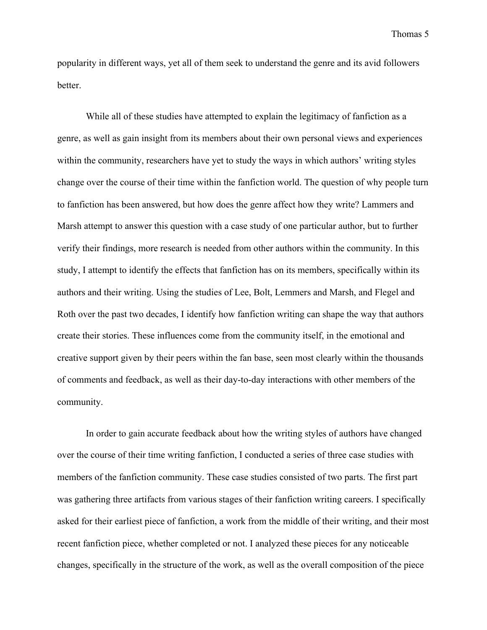popularity in different ways, yet all of them seek to understand the genre and its avid followers better.

While all of these studies have attempted to explain the legitimacy of fanfiction as a genre, as well as gain insight from its members about their own personal views and experiences within the community, researchers have yet to study the ways in which authors' writing styles change over the course of their time within the fanfiction world. The question of why people turn to fanfiction has been answered, but how does the genre affect how they write? Lammers and Marsh attempt to answer this question with a case study of one particular author, but to further verify their findings, more research is needed from other authors within the community. In this study, I attempt to identify the effects that fanfiction has on its members, specifically within its authors and their writing. Using the studies of Lee, Bolt, Lemmers and Marsh, and Flegel and Roth over the past two decades, I identify how fanfiction writing can shape the way that authors create their stories. These influences come from the community itself, in the emotional and creative support given by their peers within the fan base, seen most clearly within the thousands of comments and feedback, as well as their day-to-day interactions with other members of the community.

In order to gain accurate feedback about how the writing styles of authors have changed over the course of their time writing fanfiction, I conducted a series of three case studies with members of the fanfiction community. These case studies consisted of two parts. The first part was gathering three artifacts from various stages of their fanfiction writing careers. I specifically asked for their earliest piece of fanfiction, a work from the middle of their writing, and their most recent fanfiction piece, whether completed or not. I analyzed these pieces for any noticeable changes, specifically in the structure of the work, as well as the overall composition of the piece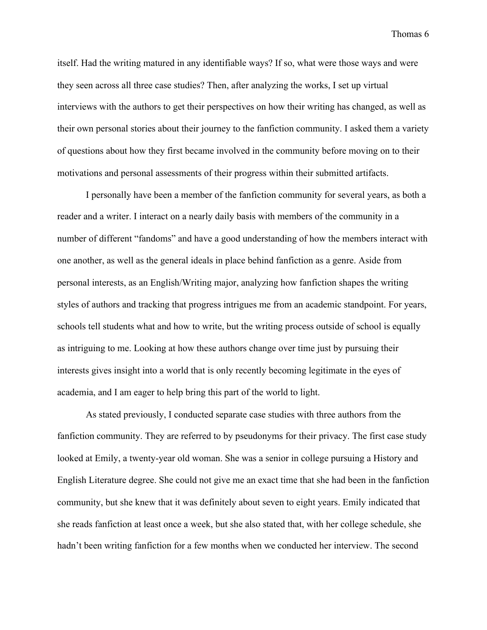itself. Had the writing matured in any identifiable ways? If so, what were those ways and were they seen across all three case studies? Then, after analyzing the works, I set up virtual interviews with the authors to get their perspectives on how their writing has changed, as well as their own personal stories about their journey to the fanfiction community. I asked them a variety of questions about how they first became involved in the community before moving on to their motivations and personal assessments of their progress within their submitted artifacts.

I personally have been a member of the fanfiction community for several years, as both a reader and a writer. I interact on a nearly daily basis with members of the community in a number of different "fandoms" and have a good understanding of how the members interact with one another, as well as the general ideals in place behind fanfiction as a genre. Aside from personal interests, as an English/Writing major, analyzing how fanfiction shapes the writing styles of authors and tracking that progress intrigues me from an academic standpoint. For years, schools tell students what and how to write, but the writing process outside of school is equally as intriguing to me. Looking at how these authors change over time just by pursuing their interests gives insight into a world that is only recently becoming legitimate in the eyes of academia, and I am eager to help bring this part of the world to light.

As stated previously, I conducted separate case studies with three authors from the fanfiction community. They are referred to by pseudonyms for their privacy. The first case study looked at Emily, a twenty-year old woman. She was a senior in college pursuing a History and English Literature degree. She could not give me an exact time that she had been in the fanfiction community, but she knew that it was definitely about seven to eight years. Emily indicated that she reads fanfiction at least once a week, but she also stated that, with her college schedule, she hadn't been writing fanfiction for a few months when we conducted her interview. The second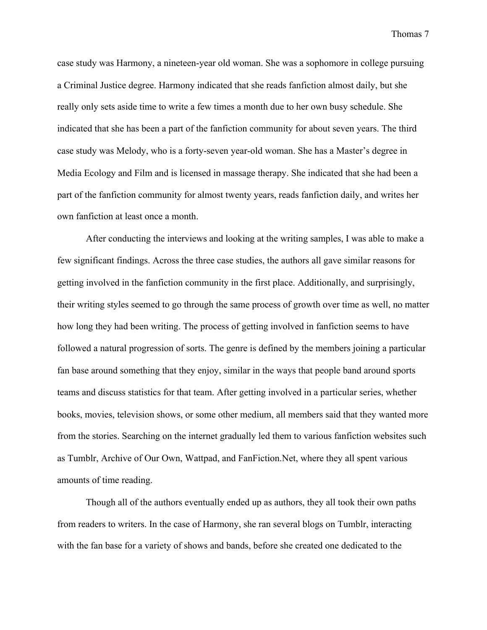case study was Harmony, a nineteen-year old woman. She was a sophomore in college pursuing a Criminal Justice degree. Harmony indicated that she reads fanfiction almost daily, but she really only sets aside time to write a few times a month due to her own busy schedule. She indicated that she has been a part of the fanfiction community for about seven years. The third case study was Melody, who is a forty-seven year-old woman. She has a Master's degree in Media Ecology and Film and is licensed in massage therapy. She indicated that she had been a part of the fanfiction community for almost twenty years, reads fanfiction daily, and writes her own fanfiction at least once a month.

After conducting the interviews and looking at the writing samples, I was able to make a few significant findings. Across the three case studies, the authors all gave similar reasons for getting involved in the fanfiction community in the first place. Additionally, and surprisingly, their writing styles seemed to go through the same process of growth over time as well, no matter how long they had been writing. The process of getting involved in fanfiction seems to have followed a natural progression of sorts. The genre is defined by the members joining a particular fan base around something that they enjoy, similar in the ways that people band around sports teams and discuss statistics for that team. After getting involved in a particular series, whether books, movies, television shows, or some other medium, all members said that they wanted more from the stories. Searching on the internet gradually led them to various fanfiction websites such as Tumblr, Archive of Our Own, Wattpad, and FanFiction.Net, where they all spent various amounts of time reading.

Though all of the authors eventually ended up as authors, they all took their own paths from readers to writers. In the case of Harmony, she ran several blogs on Tumblr, interacting with the fan base for a variety of shows and bands, before she created one dedicated to the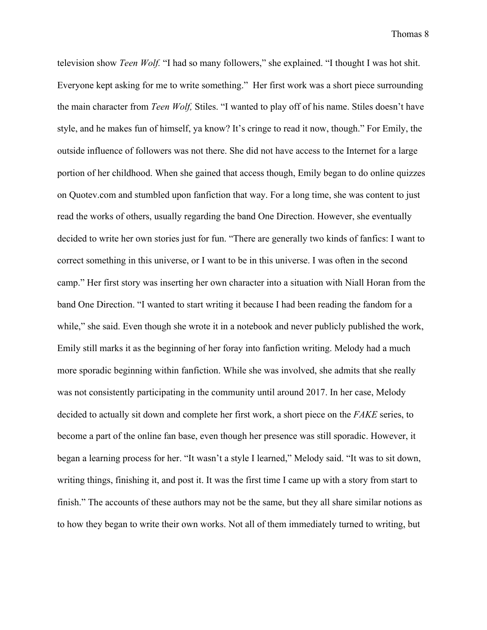television show *Teen Wolf.* "I had so many followers," she explained. "I thought I was hot shit. Everyone kept asking for me to write something." Her first work was a short piece surrounding the main character from *Teen Wolf,* Stiles. "I wanted to play off of his name. Stiles doesn't have style, and he makes fun of himself, ya know? It's cringe to read it now, though." For Emily, the outside influence of followers was not there. She did not have access to the Internet for a large portion of her childhood. When she gained that access though, Emily began to do online quizzes on Quotev.com and stumbled upon fanfiction that way. For a long time, she was content to just read the works of others, usually regarding the band One Direction. However, she eventually decided to write her own stories just for fun. "There are generally two kinds of fanfics: I want to correct something in this universe, or I want to be in this universe. I was often in the second camp." Her first story was inserting her own character into a situation with Niall Horan from the band One Direction. "I wanted to start writing it because I had been reading the fandom for a while," she said. Even though she wrote it in a notebook and never publicly published the work, Emily still marks it as the beginning of her foray into fanfiction writing. Melody had a much more sporadic beginning within fanfiction. While she was involved, she admits that she really was not consistently participating in the community until around 2017. In her case, Melody decided to actually sit down and complete her first work, a short piece on the *FAKE* series, to become a part of the online fan base, even though her presence was still sporadic. However, it began a learning process for her. "It wasn't a style I learned," Melody said. "It was to sit down, writing things, finishing it, and post it. It was the first time I came up with a story from start to finish." The accounts of these authors may not be the same, but they all share similar notions as to how they began to write their own works. Not all of them immediately turned to writing, but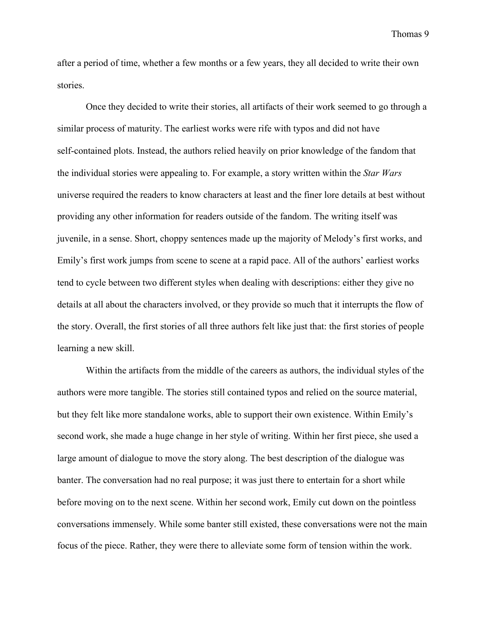after a period of time, whether a few months or a few years, they all decided to write their own stories.

Once they decided to write their stories, all artifacts of their work seemed to go through a similar process of maturity. The earliest works were rife with typos and did not have self-contained plots. Instead, the authors relied heavily on prior knowledge of the fandom that the individual stories were appealing to. For example, a story written within the *Star Wars* universe required the readers to know characters at least and the finer lore details at best without providing any other information for readers outside of the fandom. The writing itself was juvenile, in a sense. Short, choppy sentences made up the majority of Melody's first works, and Emily's first work jumps from scene to scene at a rapid pace. All of the authors' earliest works tend to cycle between two different styles when dealing with descriptions: either they give no details at all about the characters involved, or they provide so much that it interrupts the flow of the story. Overall, the first stories of all three authors felt like just that: the first stories of people learning a new skill.

Within the artifacts from the middle of the careers as authors, the individual styles of the authors were more tangible. The stories still contained typos and relied on the source material, but they felt like more standalone works, able to support their own existence. Within Emily's second work, she made a huge change in her style of writing. Within her first piece, she used a large amount of dialogue to move the story along. The best description of the dialogue was banter. The conversation had no real purpose; it was just there to entertain for a short while before moving on to the next scene. Within her second work, Emily cut down on the pointless conversations immensely. While some banter still existed, these conversations were not the main focus of the piece. Rather, they were there to alleviate some form of tension within the work.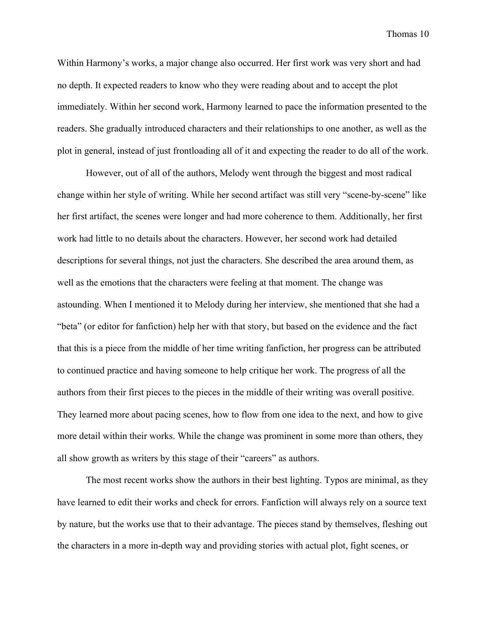Within Harmony's works, a major change also occurred. Her first work was very short and had no depth. It expected readers to know who they were reading about and to accept the plot immediately. Within her second work, Harmony learned to pace the information presented to the readers. She gradually introduced characters and their relationships to one another, as well as the plot in general, instead of just frontloading all of it and expecting the reader to do all of the work.

However, out of all of the authors, Melody went through the biggest and most radical change within her style of writing. While her second artifact was still very "scene-by-scene" like her first artifact, the scenes were longer and had more coherence to them. Additionally, her first work had little to no details about the characters. However, her second work had detailed descriptions for several things, not just the characters. She described the area around them, as well as the emotions that the characters were feeling at that moment. The change was astounding. When I mentioned it to Melody during her interview, she mentioned that she had a "beta" (or editor for fanfiction) help her with that story, but based on the evidence and the fact that this is a piece from the middle of her time writing fanfiction, her progress can be attributed to continued practice and having someone to help critique her work. The progress of all the authors from their first pieces to the pieces in the middle of their writing was overall positive. They learned more about pacing scenes, how to flow from one idea to the next, and how to give more detail within their works. While the change was prominent in some more than others, they all show growth as writers by this stage of their "careers" as authors.

The most recent works show the authors in their best lighting. Typos are minimal, as they have learned to edit their works and check for errors. Fanfiction will always rely on a source text by nature, but the works use that to their advantage. The pieces stand by themselves, fleshing out the characters in a more in-depth way and providing stories with actual plot, fight scenes, or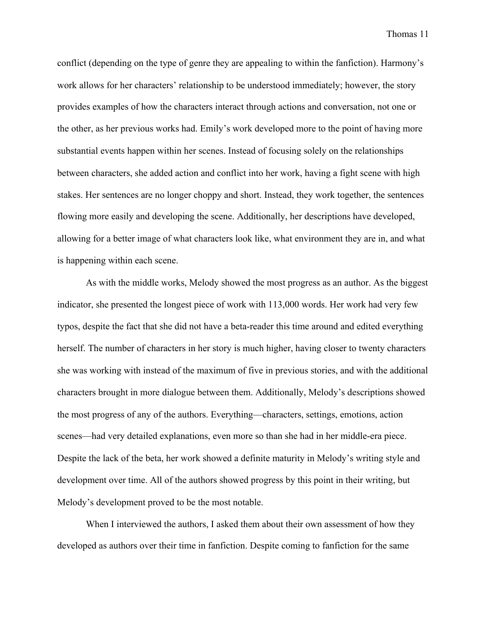conflict (depending on the type of genre they are appealing to within the fanfiction). Harmony's work allows for her characters' relationship to be understood immediately; however, the story provides examples of how the characters interact through actions and conversation, not one or the other, as her previous works had. Emily's work developed more to the point of having more substantial events happen within her scenes. Instead of focusing solely on the relationships between characters, she added action and conflict into her work, having a fight scene with high stakes. Her sentences are no longer choppy and short. Instead, they work together, the sentences flowing more easily and developing the scene. Additionally, her descriptions have developed, allowing for a better image of what characters look like, what environment they are in, and what is happening within each scene.

As with the middle works, Melody showed the most progress as an author. As the biggest indicator, she presented the longest piece of work with 113,000 words. Her work had very few typos, despite the fact that she did not have a beta-reader this time around and edited everything herself. The number of characters in her story is much higher, having closer to twenty characters she was working with instead of the maximum of five in previous stories, and with the additional characters brought in more dialogue between them. Additionally, Melody's descriptions showed the most progress of any of the authors. Everything—characters, settings, emotions, action scenes—had very detailed explanations, even more so than she had in her middle-era piece. Despite the lack of the beta, her work showed a definite maturity in Melody's writing style and development over time. All of the authors showed progress by this point in their writing, but Melody's development proved to be the most notable.

When I interviewed the authors, I asked them about their own assessment of how they developed as authors over their time in fanfiction. Despite coming to fanfiction for the same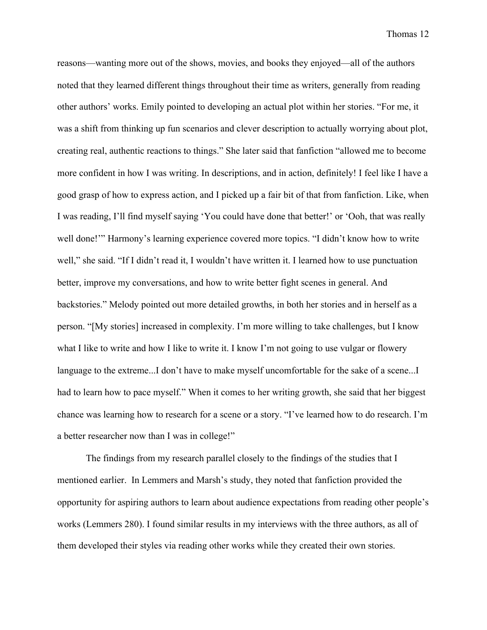reasons—wanting more out of the shows, movies, and books they enjoyed—all of the authors noted that they learned different things throughout their time as writers, generally from reading other authors' works. Emily pointed to developing an actual plot within her stories. "For me, it was a shift from thinking up fun scenarios and clever description to actually worrying about plot, creating real, authentic reactions to things." She later said that fanfiction "allowed me to become more confident in how I was writing. In descriptions, and in action, definitely! I feel like I have a good grasp of how to express action, and I picked up a fair bit of that from fanfiction. Like, when I was reading, I'll find myself saying 'You could have done that better!' or 'Ooh, that was really well done!'" Harmony's learning experience covered more topics. "I didn't know how to write well," she said. "If I didn't read it, I wouldn't have written it. I learned how to use punctuation better, improve my conversations, and how to write better fight scenes in general. And backstories." Melody pointed out more detailed growths, in both her stories and in herself as a person. "[My stories] increased in complexity. I'm more willing to take challenges, but I know what I like to write and how I like to write it. I know I'm not going to use vulgar or flowery language to the extreme...I don't have to make myself uncomfortable for the sake of a scene...I had to learn how to pace myself." When it comes to her writing growth, she said that her biggest chance was learning how to research for a scene or a story. "I've learned how to do research. I'm a better researcher now than I was in college!"

The findings from my research parallel closely to the findings of the studies that I mentioned earlier. In Lemmers and Marsh's study, they noted that fanfiction provided the opportunity for aspiring authors to learn about audience expectations from reading other people's works (Lemmers 280). I found similar results in my interviews with the three authors, as all of them developed their styles via reading other works while they created their own stories.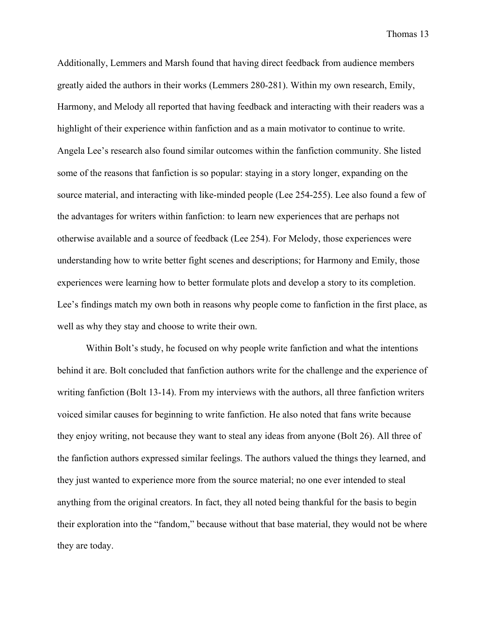Additionally, Lemmers and Marsh found that having direct feedback from audience members greatly aided the authors in their works (Lemmers 280-281). Within my own research, Emily, Harmony, and Melody all reported that having feedback and interacting with their readers was a highlight of their experience within fanfiction and as a main motivator to continue to write. Angela Lee's research also found similar outcomes within the fanfiction community. She listed some of the reasons that fanfiction is so popular: staying in a story longer, expanding on the source material, and interacting with like-minded people (Lee 254-255). Lee also found a few of the advantages for writers within fanfiction: to learn new experiences that are perhaps not otherwise available and a source of feedback (Lee 254). For Melody, those experiences were understanding how to write better fight scenes and descriptions; for Harmony and Emily, those experiences were learning how to better formulate plots and develop a story to its completion. Lee's findings match my own both in reasons why people come to fanfiction in the first place, as well as why they stay and choose to write their own.

Within Bolt's study, he focused on why people write fanfiction and what the intentions behind it are. Bolt concluded that fanfiction authors write for the challenge and the experience of writing fanfiction (Bolt 13-14). From my interviews with the authors, all three fanfiction writers voiced similar causes for beginning to write fanfiction. He also noted that fans write because they enjoy writing, not because they want to steal any ideas from anyone (Bolt 26). All three of the fanfiction authors expressed similar feelings. The authors valued the things they learned, and they just wanted to experience more from the source material; no one ever intended to steal anything from the original creators. In fact, they all noted being thankful for the basis to begin their exploration into the "fandom," because without that base material, they would not be where they are today.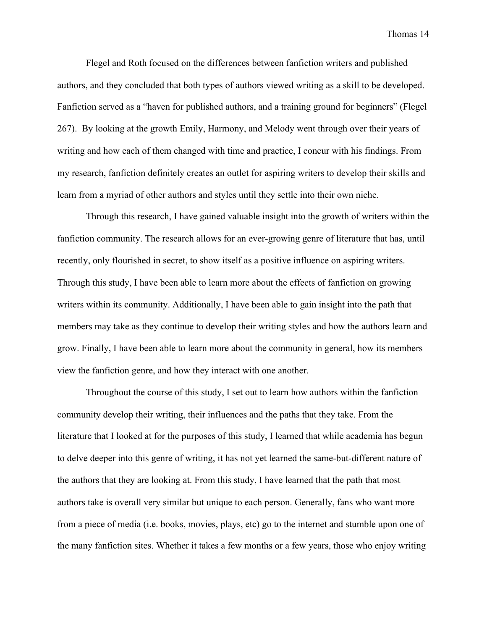Flegel and Roth focused on the differences between fanfiction writers and published authors, and they concluded that both types of authors viewed writing as a skill to be developed. Fanfiction served as a "haven for published authors, and a training ground for beginners" (Flegel 267). By looking at the growth Emily, Harmony, and Melody went through over their years of writing and how each of them changed with time and practice, I concur with his findings. From my research, fanfiction definitely creates an outlet for aspiring writers to develop their skills and learn from a myriad of other authors and styles until they settle into their own niche.

Through this research, I have gained valuable insight into the growth of writers within the fanfiction community. The research allows for an ever-growing genre of literature that has, until recently, only flourished in secret, to show itself as a positive influence on aspiring writers. Through this study, I have been able to learn more about the effects of fanfiction on growing writers within its community. Additionally, I have been able to gain insight into the path that members may take as they continue to develop their writing styles and how the authors learn and grow. Finally, I have been able to learn more about the community in general, how its members view the fanfiction genre, and how they interact with one another.

Throughout the course of this study, I set out to learn how authors within the fanfiction community develop their writing, their influences and the paths that they take. From the literature that I looked at for the purposes of this study, I learned that while academia has begun to delve deeper into this genre of writing, it has not yet learned the same-but-different nature of the authors that they are looking at. From this study, I have learned that the path that most authors take is overall very similar but unique to each person. Generally, fans who want more from a piece of media (i.e. books, movies, plays, etc) go to the internet and stumble upon one of the many fanfiction sites. Whether it takes a few months or a few years, those who enjoy writing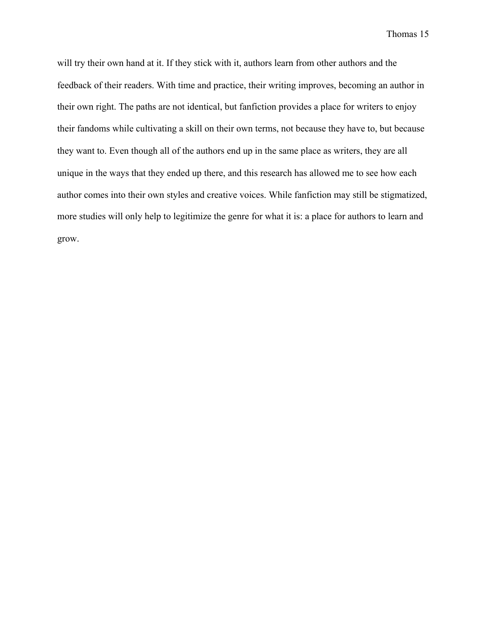will try their own hand at it. If they stick with it, authors learn from other authors and the feedback of their readers. With time and practice, their writing improves, becoming an author in their own right. The paths are not identical, but fanfiction provides a place for writers to enjoy their fandoms while cultivating a skill on their own terms, not because they have to, but because they want to. Even though all of the authors end up in the same place as writers, they are all unique in the ways that they ended up there, and this research has allowed me to see how each author comes into their own styles and creative voices. While fanfiction may still be stigmatized, more studies will only help to legitimize the genre for what it is: a place for authors to learn and grow.